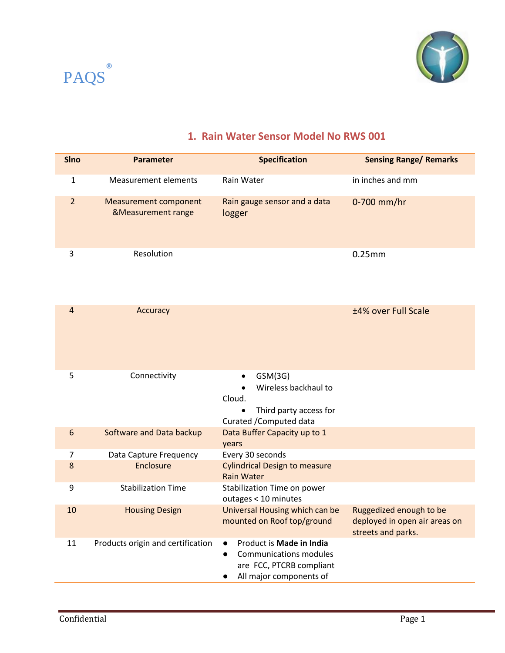



## **1. Rain Water Sensor Model No RWS 001**

| <b>SIno</b>    | <b>Parameter</b>                                              | <b>Specification</b>                                                                                                                       | <b>Sensing Range/ Remarks</b>                                                  |
|----------------|---------------------------------------------------------------|--------------------------------------------------------------------------------------------------------------------------------------------|--------------------------------------------------------------------------------|
| $\mathbf{1}$   | <b>Measurement elements</b>                                   | Rain Water                                                                                                                                 | in inches and mm                                                               |
| $\overline{2}$ | <b>Measurement component</b><br><b>&amp;Measurement range</b> | Rain gauge sensor and a data<br>logger                                                                                                     | 0-700 mm/hr                                                                    |
| 3              | Resolution                                                    |                                                                                                                                            | 0.25mm                                                                         |
| $\overline{4}$ | Accuracy                                                      |                                                                                                                                            | ±4% over Full Scale                                                            |
| 5              | Connectivity                                                  | GSM(3G)<br>Wireless backhaul to<br>Cloud.<br>Third party access for<br>Curated / Computed data                                             |                                                                                |
| $6\phantom{a}$ | Software and Data backup                                      | Data Buffer Capacity up to 1<br>years                                                                                                      |                                                                                |
| $\overline{7}$ | Data Capture Frequency                                        | Every 30 seconds                                                                                                                           |                                                                                |
| 8              | Enclosure                                                     | <b>Cylindrical Design to measure</b><br><b>Rain Water</b>                                                                                  |                                                                                |
| 9              | <b>Stabilization Time</b>                                     | Stabilization Time on power<br>outages < 10 minutes                                                                                        |                                                                                |
| 10             | <b>Housing Design</b>                                         | Universal Housing which can be<br>mounted on Roof top/ground                                                                               | Ruggedized enough to be<br>deployed in open air areas on<br>streets and parks. |
| 11             | Products origin and certification                             | Product is Made in India<br><b>Communications modules</b><br>$\bullet$<br>are FCC, PTCRB compliant<br>All major components of<br>$\bullet$ |                                                                                |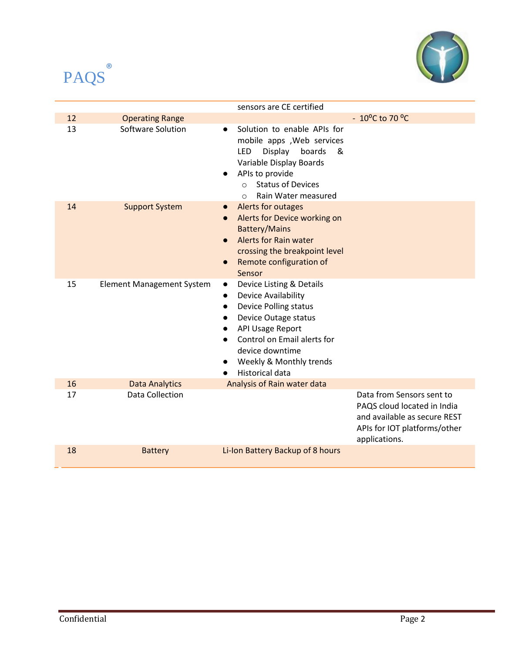



|    |                                  | sensors are CE certified                                                                                                                                                                                                                                                         |                                                                                                                                           |
|----|----------------------------------|----------------------------------------------------------------------------------------------------------------------------------------------------------------------------------------------------------------------------------------------------------------------------------|-------------------------------------------------------------------------------------------------------------------------------------------|
| 12 | <b>Operating Range</b>           |                                                                                                                                                                                                                                                                                  | $-10^{\circ}$ C to 70 $^{\circ}$ C                                                                                                        |
| 13 | Software Solution                | Solution to enable APIs for<br>mobile apps , Web services<br>Display<br><b>LED</b><br>boards<br>&<br>Variable Display Boards<br>APIs to provide<br><b>Status of Devices</b><br>$\cap$<br>Rain Water measured<br>$\Omega$                                                         |                                                                                                                                           |
| 14 | <b>Support System</b>            | Alerts for outages<br>Alerts for Device working on<br>$\bullet$<br><b>Battery/Mains</b><br><b>Alerts for Rain water</b><br>$\bullet$<br>crossing the breakpoint level<br>Remote configuration of<br>Sensor                                                                       |                                                                                                                                           |
| 15 | <b>Element Management System</b> | Device Listing & Details<br>$\bullet$<br>Device Availability<br>$\bullet$<br><b>Device Polling status</b><br>$\bullet$<br>Device Outage status<br><b>API Usage Report</b><br>Control on Email alerts for<br>device downtime<br>Weekly & Monthly trends<br><b>Historical data</b> |                                                                                                                                           |
| 16 | <b>Data Analytics</b>            | Analysis of Rain water data                                                                                                                                                                                                                                                      |                                                                                                                                           |
| 17 | <b>Data Collection</b>           |                                                                                                                                                                                                                                                                                  | Data from Sensors sent to<br>PAQS cloud located in India<br>and available as secure REST<br>APIs for IOT platforms/other<br>applications. |
| 18 | <b>Battery</b>                   | Li-Ion Battery Backup of 8 hours                                                                                                                                                                                                                                                 |                                                                                                                                           |